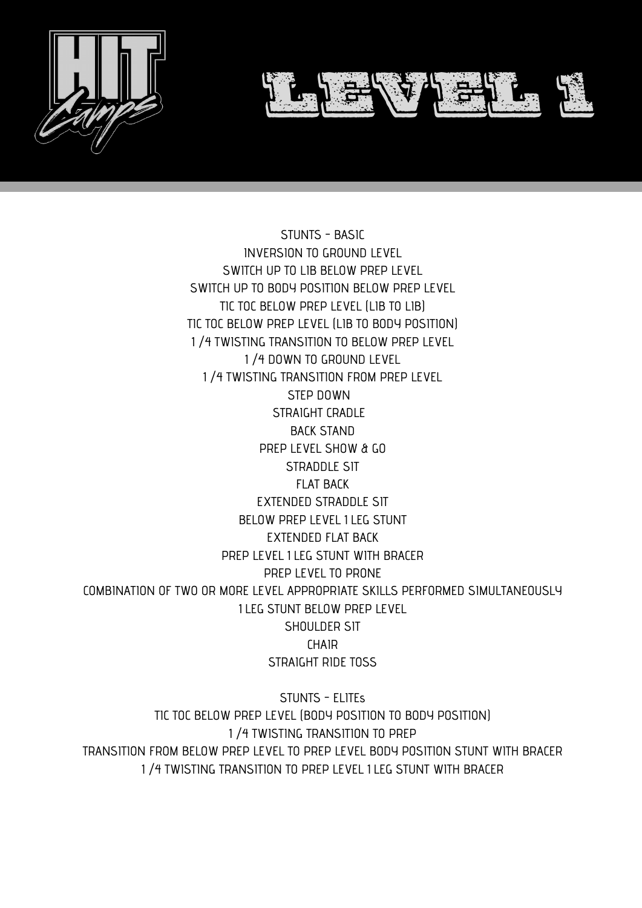



STUNTS - BASIC INVERSION TO GROUND LEVEL SWITCH UP TO LIB BELOW PREP LEVEL SWITCH UP TO BODY POSITION BELOW PREP LEVEL TIC TOC BELOW PREP LEVEL (LIB TO LIB) TIC TOC BELOW PREP LEVEL (LIB TO BODY POSITION) 1 ⁄4 TWISTING TRANSITION TO BELOW PREP LEVEL 1 ⁄4 DOWN TO GROUND LEVEL 1 ⁄4 TWISTING TRANSITION FROM PREP LEVEL STEP DOWN STRAIGHT CRADLE BACK STAND PREP LEVEL SHOW & GO STRADDLE SIT FLAT BACK

EXTENDED STRADDLE SIT BELOW PREP LEVEL 1 LEG STUNT EXTENDED FLAT BACK PREP LEVEL 1 LEG STUNT WITH BRACER PREP LEVEL TO PRONE COMBINATION OF TWO OR MORE LEVEL APPROPRIATE SKILLS PERFORMED SIMULTANEOUSLY 1 LEG STUNT BELOW PREP LEVEL SHOULDER SIT **CHAIR** STRAIGHT RIDE TOSS

STUNTS - ELITEs TIC TOC BELOW PREP LEVEL (BODY POSITION TO BODY POSITION) 1 ⁄4 TWISTING TRANSITION TO PREP TRANSITION FROM BELOW PREP LEVEL TO PREP LEVEL BODY POSITION STUNT WITH BRACER 1 ⁄4 TWISTING TRANSITION TO PREP LEVEL 1 LEG STUNT WITH BRACER